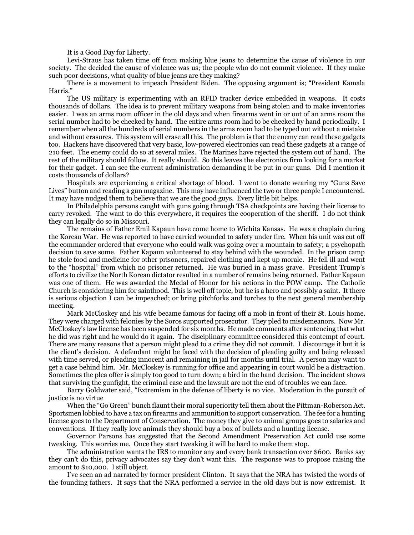It is a Good Day for Liberty.

Levi-Straus has taken time off from making blue jeans to determine the cause of violence in our society. The decided the cause of violence was us; the people who do not commit violence. If they make such poor decisions, what quality of blue jeans are they making?

There is a movement to impeach President Biden. The opposing argument is; "President Kamala Harris."

The US military is experimenting with an RFID tracker device embedded in weapons. It costs thousands of dollars. The idea is to prevent military weapons from being stolen and to make inventories easier. I was an arms room officer in the old days and when firearms went in or out of an arms room the serial number had to be checked by hand. The entire arms room had to be checked by hand periodically. I remember when all the hundreds of serial numbers in the arms room had to be typed out without a mistake and without erasures. This system will erase all this. The problem is that the enemy can read these gadgets too. Hackers have discovered that very basic, low-powered electronics can read these gadgets at a range of 210 feet. The enemy could do so at several miles. The Marines have rejected the system out of hand. The rest of the military should follow. It really should. So this leaves the electronics firm looking for a market for their gadget. I can see the current administration demanding it be put in our guns. Did I mention it costs thousands of dollars?

Hospitals are experiencing a critical shortage of blood. I went to donate wearing my "Guns Save Lives" button and reading a gun magazine. This may have influenced the two or three people I encountered. It may have nudged them to believe that we are the good guys. Every little bit helps.

In Philadelphia persons caught with guns going through TSA checkpoints are having their license to carry revoked. The want to do this everywhere, it requires the cooperation of the sheriff. I do not think they can legally do so in Missouri.

The remains of Father Emil Kapaun have come home to Wichita Kansas. He was a chaplain during the Korean War. He was reported to have carried wounded to safety under fire. When his unit was cut off the commander ordered that everyone who could walk was going over a mountain to safety; a psychopath decision to save some. Father Kapaun volunteered to stay behind with the wounded. In the prison camp he stole food and medicine for other prisoners, repaired clothing and kept up morale. He fell ill and went to the "hospital" from which no prisoner returned. He was buried in a mass grave. President Trump's efforts to civilize the North Korean dictator resulted in a number of remains being returned. Father Kapaun was one of them. He was awarded the Medal of Honor for his actions in the POW camp. The Catholic Church is considering him for sainthood. This is well off topic, but he is a hero and possibly a saint. It there is serious objection I can be impeached; or bring pitchforks and torches to the next general membership meeting.

Mark McCloskey and his wife became famous for facing off a mob in front of their St. Louis home. They were charged with felonies by the Soros supported prosecutor. They pled to misdemeanors. Now Mr. McCloskey's law license has been suspended for six months. He made comments after sentencing that what he did was right and he would do it again. The disciplinary committee considered this contempt of court. There are many reasons that a person might plead to a crime they did not commit. I discourage it but it is the client's decision. A defendant might be faced with the decision of pleading guilty and being released with time served, or pleading innocent and remaining in jail for months until trial. A person may want to get a case behind him. Mr. McCloskey is running for office and appearing in court would be a distraction. Sometimes the plea offer is simply too good to turn down; a bird in the hand decision. The incident shows that surviving the gunfight, the criminal case and the lawsuit are not the end of troubles we can face.

Barry Goldwater said, "Extremism in the defense of liberty is no vice. Moderation in the pursuit of justice is no virtue

When the "Go Green" bunch flaunt their moral superiority tell them about the Pittman-Roberson Act. Sportsmen lobbied to have a tax on firearms and ammunition to support conservation. The fee for a hunting license goes to the Department of Conservation. The money they give to animal groups goes to salaries and conventions. If they really love animals they should buy a box of bullets and a hunting license.

Governor Parsons has suggested that the Second Amendment Preservation Act could use some tweaking. This worries me. Once they start tweaking it will be hard to make them stop.

The administration wants the IRS to monitor any and every bank transaction over \$600. Banks say they can't do this, privacy advocates say they don't want this. The response was to propose raising the amount to \$10,000. I still object.

I've seen an ad narrated by former president Clinton. It says that the NRA has twisted the words of the founding fathers. It says that the NRA performed a service in the old days but is now extremist. It